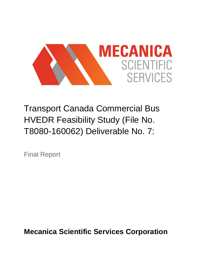

Transport Canada Commercial Bus HVEDR Feasibility Study (File No. T8080-160062) Deliverable No. 7:

Final Report

**Mecanica Scientific Services Corporation**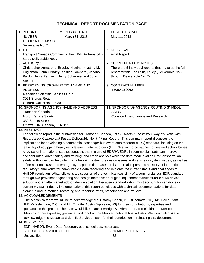### **TECHNICAL REPORT DOCUMENTATION PAGE**

|                      | 1. REPORT                                                                                                                                                                                                         | 2. REPORT DATE                                      | 3. PUBLISHED DATE                                                                                         |  |  |
|----------------------|-------------------------------------------------------------------------------------------------------------------------------------------------------------------------------------------------------------------|-----------------------------------------------------|-----------------------------------------------------------------------------------------------------------|--|--|
|                      | <b>NUMBER</b>                                                                                                                                                                                                     | March 31, 2018                                      | May 11, 2018                                                                                              |  |  |
|                      | T8080-160062 MSSC                                                                                                                                                                                                 |                                                     |                                                                                                           |  |  |
|                      | Deliverable No. 7                                                                                                                                                                                                 |                                                     |                                                                                                           |  |  |
|                      | 4. TITLE                                                                                                                                                                                                          |                                                     | 5. DELIVERABLE                                                                                            |  |  |
|                      | <b>Transport Canada Commercial Bus HVEDR Feasibility</b>                                                                                                                                                          |                                                     | <b>Final Report</b>                                                                                       |  |  |
|                      | Study Deliverable No. 7                                                                                                                                                                                           |                                                     |                                                                                                           |  |  |
|                      | 6. AUTHOR(S)                                                                                                                                                                                                      |                                                     | 7. SUPPLEMENTARY NOTES                                                                                    |  |  |
|                      |                                                                                                                                                                                                                   | Christopher Armstrong, Bradley Higgins, Krystina M. | There are 5 individual reports that make up the full                                                      |  |  |
|                      | Engleman, John Grindey, Kristina Lombardi, Jacobo                                                                                                                                                                 |                                                     | report for this Feasibility Study (Deliverable No. 3                                                      |  |  |
|                      | Pardo, Henry Ramirez, Henry Schmoker and John                                                                                                                                                                     |                                                     | through Deliverable No. 7)                                                                                |  |  |
|                      | <b>Steiner</b>                                                                                                                                                                                                    |                                                     |                                                                                                           |  |  |
|                      | 8. PERFORMING ORGANIZATION NAME AND                                                                                                                                                                               |                                                     | 9. CONTRACT NUMBER                                                                                        |  |  |
|                      | <b>ADDRESS</b>                                                                                                                                                                                                    |                                                     | T8080-160062                                                                                              |  |  |
|                      | Mecanica Scientific Services Corp                                                                                                                                                                                 |                                                     |                                                                                                           |  |  |
|                      | 3051 Sturgis Road                                                                                                                                                                                                 |                                                     |                                                                                                           |  |  |
|                      | Oxnard, California, 93030                                                                                                                                                                                         |                                                     |                                                                                                           |  |  |
|                      |                                                                                                                                                                                                                   | 10. SPONSORING AGENCY NAME AND ADDRESS              | 11. SPONSORING AGENCY ROUTING SYMBOL                                                                      |  |  |
|                      | <b>Transport Canada</b>                                                                                                                                                                                           |                                                     | <b>ASFCA</b>                                                                                              |  |  |
|                      | Motor Vehicle Safety                                                                                                                                                                                              |                                                     | <b>Collision Investigations and Research</b>                                                              |  |  |
|                      | 330 Sparks Street                                                                                                                                                                                                 |                                                     |                                                                                                           |  |  |
|                      | Ottawa, ON, Canada, K1A 0N5<br>12. ABSTRACT                                                                                                                                                                       |                                                     |                                                                                                           |  |  |
|                      |                                                                                                                                                                                                                   |                                                     | The following report is the submission for Transport Canada, T8080-160062 Feasibility Study of Event Data |  |  |
|                      |                                                                                                                                                                                                                   |                                                     |                                                                                                           |  |  |
|                      | Recorder for Commercial Buses, Deliverable No. 7, "Final Report." This summary report discusses the<br>implications for developing a commercial passenger bus event data recorder (EDR) standard, focusing on the |                                                     |                                                                                                           |  |  |
|                      | feasibility of equipping heavy vehicle event data recorders (HVEDRs) in motorcoaches, buses and school buses.                                                                                                     |                                                     |                                                                                                           |  |  |
|                      | A review of international studies suggests that the use of EDR/HVEDRs in commercial fleets can improve                                                                                                            |                                                     |                                                                                                           |  |  |
|                      | accident rates, driver safety and training, and crash analysis while the data made available to transportation                                                                                                    |                                                     |                                                                                                           |  |  |
|                      | safety authorities can help identify highway/infrastructure design issues and vehicle or system issues, as well as                                                                                                |                                                     |                                                                                                           |  |  |
|                      | refine national crash and emergency response databases. This report also presents a history of international                                                                                                      |                                                     |                                                                                                           |  |  |
|                      | regulatory frameworks for heavy vehicle data recording and explores the current status and challenges to                                                                                                          |                                                     |                                                                                                           |  |  |
|                      | HVEDR regulation. What follows is a discussion of the technical feasibility of a commercial bus EDR standard                                                                                                      |                                                     |                                                                                                           |  |  |
|                      | through two prevalent engineering and design methods: an original equipment manufacturer (OEM) device                                                                                                             |                                                     |                                                                                                           |  |  |
|                      | solution and an aftermarket add-on device solution. Because standardization must account for variations in                                                                                                        |                                                     |                                                                                                           |  |  |
|                      | current HVEDR industry implementations, this report concludes with technical recommendations for data                                                                                                             |                                                     |                                                                                                           |  |  |
|                      | elements and formatting, recording and reporting rates, preservation and retrieval.                                                                                                                               |                                                     |                                                                                                           |  |  |
| 13. ACKNOWLEDGEMENTS |                                                                                                                                                                                                                   |                                                     |                                                                                                           |  |  |
|                      |                                                                                                                                                                                                                   |                                                     | The Mecanica team would like to acknowledge Mr. Timothy Cheek, P.E. (Charlotte, NC), Mr. David Plant,     |  |  |
|                      | P.E. (Washington, D.C.) and Mr. Timothy Austin (Appleton, WI) for their contributions, expertise and                                                                                                              |                                                     |                                                                                                           |  |  |
|                      | guidance in this project. The team would like to acknowledge Sr. Abraham Pardo (Cuidad de Mexico,                                                                                                                 |                                                     |                                                                                                           |  |  |
|                      | Mexico) for his expertise, guidance, and input on the Mexican national bus industry. We would also like to                                                                                                        |                                                     |                                                                                                           |  |  |
|                      | acknowledge the Mecanica Scientific Services Team for their contribution in releasing this document.                                                                                                              |                                                     |                                                                                                           |  |  |
|                      | 14. KEY WORDS                                                                                                                                                                                                     |                                                     |                                                                                                           |  |  |
|                      | EDR, HVEDR, Event Data Recorder, bus, school bus, motorcoach                                                                                                                                                      |                                                     |                                                                                                           |  |  |
|                      | <b>15. SECURITY CLASSIFICATION</b>                                                                                                                                                                                |                                                     | 16. NUMBER OF PAGES                                                                                       |  |  |
|                      | Unclassified                                                                                                                                                                                                      |                                                     | 32                                                                                                        |  |  |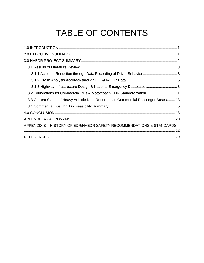# TABLE OF CONTENTS

| 3.1.3 Highway Infrastructure Design & National Emergency Databases 8                |
|-------------------------------------------------------------------------------------|
| 3.2 Foundations for Commercial Bus & Motorcoach EDR Standardization  11             |
| 3.3 Current Status of Heavy Vehicle Data Recorders in Commercial Passenger Buses 13 |
|                                                                                     |
|                                                                                     |
|                                                                                     |
| APPENDIX B - HISTORY OF EDR/HVEDR SAFETY RECOMMENDATIONS & STANDARDS                |
|                                                                                     |
|                                                                                     |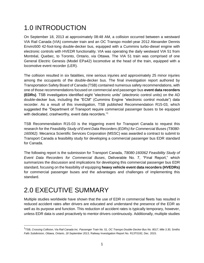## <span id="page-3-0"></span>1.0 INTRODUCTION

On September 18, 2013 at approximately 08:48 AM, a collision occurred between a westward VIA Rail Canada (VIA) commuter train and an OC Transpo model-year 2012 Alexander Dennis Enviro500 42-foot-long double-decker bus, equipped with a Cummins turbo-diesel engine with electronic controls with HVEDR functionality. VIA was operating the daily westward VIA 51 from Montréal, Quebec, to Toronto, Ontario, via Ottawa. The VIA 51 train was comprised of one General Electric Genesis (Model EPa42) locomotive at the head of the train, equipped with a locomotive event recorder (LER).

The collision resulted in six fatalities, nine serious injuries and approximately 25 minor injuries among the occupants of the double-decker bus. The final investigation report authored by Transportation Safety Board of Canada (TSB) contained numerous safety recommendations, with one of those recommendations focused on commercial and passenger bus **event data recorders (EDRs)**. TSB investigators identified eight "electronic units" (electronic control units) on the AD double-decker bus, including the "ECM" (Cummins Engine "electronic control module") data recorder. As a result of this investigation, TSB published Recommendation R15-03, which suggested the "Department of Transport require commercial passenger buses to be equipped with dedicated, crashworthy, event data recorders."<sup>1</sup>

TSB Recommendation R15-03 is the triggering event for Transport Canada to request this research for the *Feasibility Study of Event Data Recorders (EDRs) for Commercial Buses (T8080- 160062)*. Mecanica Scientific Services Corporation (MSSC) was awarded a contract to submit to Transport Canada a feasibility study for developing a commercial passenger bus EDR standard for Canada.

The following report is the submission for Transport Canada, *T8080-160062 Feasibility Study of Event Data Recorders for Commercial Buses*, Deliverable No. 7, "Final Report," which summarizes the discussion and implications for developing this commercial passenger bus EDR standard, focusing on the feasibility of equipping **heavy vehicle event data recorders (HVEDRs)** for commercial passenger buses and the advantages and challenges of implementing this standard.

## <span id="page-3-1"></span>2.0 EXECUTIVE SUMMARY

Multiple studies worldwide have shown that the use of EDR in commercial fleets has resulted in reduced accident rates after drivers are educated and understand the presence of the EDR as well as its purpose and function. This reduction of accident rates is typically temporary, however, unless EDR data is used proactively to mentor drivers continuously. Additionally, multiple studies

<sup>1</sup> TSB, *Crossing Collision, Via Rail Canada Inc. Passenger Train No. 51, OC Transpo Double-Decker Bus No. 8017, Mile 3.30, Smiths Falls Subdivision, Ottawa, Ontario, 18 September 2013*, Railway Investigation Report No. R13T0192, Dec. 2015.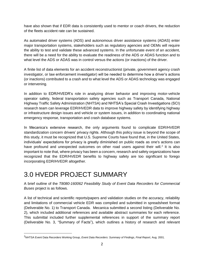have also shown that if EDR data is consistently used to mentor or coach drivers, the reduction of the fleets accident rate can be sustained.

As automated driver systems (ADS) and autonomous driver assistance systems (ADAS) enter major transportation systems, stakeholders such as regulatory agencies and OEMs will require the ability to test and validate these advanced systems. In the unfortunate event of an accident, there will be a need for the ability to evaluate the readiness of the ADS or ADAS function and to what level the ADS or ADAS was in control versus the actions (or inactions) of the driver.

A finite list of data elements for an accident reconstructionist (private, government agency crash investigator, or law enforcement investigator) will be needed to determine how a driver's actions (or inactions) contributed to a crash and to what level the ADS or ADAS technology was engaged or intervening.

In addition to EDR/HVEDR's role in analyzing driver behavior and improving motor-vehicle operator safety, federal transportation safety agencies such as Transport Canada, National Highway Traffic Safety Administration (NHTSA) and NHTSA's Special Crash Investigations (SCI) research team can leverage EDR/HVEDR data to improve highway safety by identifying highway or infrastructure design issues and vehicle or system issues, in addition to coordinating national emergency response, transportation and crash database systems.

In Mecanica's extensive research, the only arguments found to complicate EDR/HVEDR standardization concern drivers' privacy rights. Although this policy issue is beyond the scope of this study, it must be recognized that U.S. Supreme Courts have found that, in the United States, individuals' expectations for privacy is greatly diminished on public roads as one's actions can have profound and unexpected outcomes on other road users against their will.<sup>2</sup> It is also important to note that, where privacy has been a concern, research and safety organizations have recognized that the EDR/HVEDR benefits to highway safety are too significant to forego incorporating EDR/HVEDR altogether.

## <span id="page-4-0"></span>3.0 HVEDR PROJECT SUMMARY

A brief outline of the *T8080-160062 Feasibility Study of Event Data Recorders for Commercial Buses* project is as follows.

A list of technical and scientific reports/papers and validation studies on the accuracy, reliability and limitations of commercial vehicle EDR was compiled and submitted in spreadsheet format (Deliverable No. 1) to Transport Canada. Mecanica submitted a second listing (Deliverable No. 2), which included additional references and available abstract summaries for each reference. This submittal included further supplemental references in support of the summary report (Deliverable No. 3, "Summary of Facts"), which outlines a history of research and relevant

<sup>2</sup>NHTSA Event Data Recorders Working Group, *Event Data Recorders: Summary of Findings, Final Report,* Aug. 2001.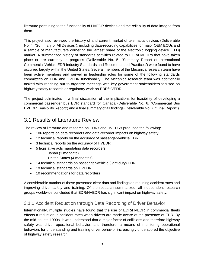literature pertaining to the functionality of HVEDR devices and the reliability of data imaged from them.

This project also reviewed the history of and current market of telematics devices (Deliverable No. 4, "Summary of All Devices"), including data-recording capabilities for major OEM ECUs and a sample of manufacturers cornering the largest share of the electronic logging device (ELD) market. A summarized history of standards activities related to EDR/HVEDRs that have taken place or are currently in progress (Deliverable No. 5, "Summary Report of International Commercial Vehicle EDR Industry Standards and Recommended Practices") were found to have occurred largely within the United States. Several members of the Mecanica research team have been active members and served in leadership roles for some of the following standards committees on EDR and HVEDR functionality. The Mecanica research team was additionally tasked with reaching out to organize meetings with key government stakeholders focused on highway safety research or regulatory work on EDR/HVEDR.

The project culminates in a final discussion of the implications for feasibility of developing a commercial passenger bus EDR standard for Canada (Deliverable No. 6, "Commercial Bus HVEDR Feasibility Report") and a final summary of all findings (Deliverable No. 7, "Final Report").

### <span id="page-5-0"></span>3.1 Results of Literature Review

The review of literature and research on EDRs and HVEDRs produced the following:

- 106 reports on data recorders and data-recorder impacts on highway safety
- 12 technical reports on the accuracy of passenger-vehicle EDR
- 3 technical reports on the accuracy of HVEDR
- 5 legislative acts mandating data recorders
	- o Japan (1 mandate)
	- o United States (4 mandates)
- 14 technical standards on passenger-vehicle (light-duty) EDR
- 19 technical standards on HVEDR
- 10 recommendations for data recorders

A considerable number of these presented clear data and findings on reducing accident rates and improving driver safety and training. Of the research summarized, all independent research groups worldwide concluded that EDR/HVEDR has significant impact on highway safety.

### <span id="page-5-1"></span>3.1.1 Accident Reduction through Data Recording of Driver Behavior

Internationally, multiple studies have found that the use of EDR/HVEDR in commercial fleets effects a reduction in accident rates when drivers are made aware of the presence of EDR. By the mid- to late 1990s, it was understood that a major factor of collisions and therefore highway safety was driver operational behavior, and therefore, a means of monitoring operational behaviors for understanding and training driver behavior increasingly underscored the objective of highway safety research.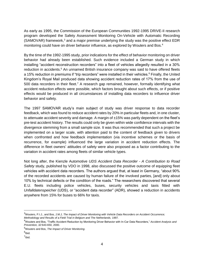As early as 1995, the Commission of the European Communities 1992-1995 DRIVE-II research program developed the Safety Assessment Monitoring On-Vehicle with Automatic Recording  $(SAMOVAR)$  framework, $3$  and a major premise underlying the study was the positive effect EDR monitoring could have on driver behavior influence, as explored by Wouters and Bos.<sup>4</sup>

By the time of the 1992-1995 study, prior indications for the effect of behavior monitoring on driver behavior had already been established. Such evidence included a German study in which installing "accident reconstruction recorders" into a fleet of vehicles allegedly resulted in a 30% reduction in accidents.<sup>5</sup> An unnamed British insurance company was said to have offered fleets a 15% reduction in premiums if "trip recorders" were installed in their vehicles.<sup>6</sup> Finally, the United Kingdom's Royal Mail produced data showing accident reduction rates of 17% from the use of 500 data recorders in their fleet.<sup>7</sup> A research gap remained, however, formally identifying what accident reduction effects were possible, which factors brought about such effects, or if positive effects would be produced in all circumstances of installing data recorders to influence driver behavior and safety.

The 1997 SAMOVAR study's main subject of study was driver response to data recorder feedback, which was found to reduce accident rates by 20% in particular fleets and, in one cluster, to attenuate accident severity and damage. A margin of ±15% was partly dependent on the fleet's pre-test accident history. The results could only be given within wide confidence intervals with the divergence stemming from a small sample size. It was thus recommended that such a project be implemented on a larger scale, with attention paid to the content of feedback given to drivers when confronted and how feedback implementation (via incentive schemes or the basis of recurrence, for example) influenced the large variation in accident reduction effects. The difference in fleet owners' attitudes of safety were also proposed as a factor contributing to the variation in accident rates among fleets of similar vehicle types.

Not long after, the Kienzle Automotive *UDS Accident Data Recorder - A Contribution to Road Safety* study, published by VDO in 1998, also discussed the positive outcome of equipping fleet vehicles with accident data recorders. The authors argued that, at least in Germany, "about 90% of the recorded accidents are caused by human failure of the involved parties, [and] only about 10% by technical defects or the condition of the roads." The researchers discovered that several E.U. fleets including police vehicles, buses, security vehicles and taxis fitted with *Unfalldatenspeicher* (UDS), or "accident data recorder" (ADR), showed a reduction in accidents anywhere from 15% for buses to 66% for taxis.

<sup>3</sup>Wouters, P.I.J., and Bos, J.M.J, *The Impact of Driver Monitoring with Vehicle Data Recorders on Accident Occurrence; Methodology and Results of a Field Trial in Belgium and The Netherlands,* 1997.

<sup>4</sup>Wouters and Bos, "Traffic Accident Reduction by Monitoring Driver Behavior with In-Car Data Recorders," *Accident Analysis and Prevention, 32*:643-650, 2000.

<sup>5</sup>Wouters and Bos, *The Impact of Driver Monitoring*.

<sup>&</sup>lt;sup>6</sup>lbid.

<sup>7&</sup>lt;sub>Ibid.</sub>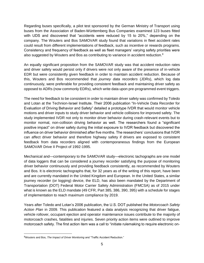Regarding buses specifically, a pilot test sponsored by the German Ministry of Transport using buses from the Association of Baden-Württemberg Bus Companies examined 123 buses fitted with UDS and discovered that "accidents were reduced by 15 to 20%," depending on the company. The Wouters and Bos SAMOVAR study found that variations in fleet accident rates could result from different implementations of feedback, such as incentive or rewards programs. Consistency and frequency of feedback as well as fleet managers' varying safety priorities were also suggested by Wouters and Bos as contributing to variance in accident reduction.<sup>8</sup>

An equally significant proposition from the SAMOVAR study was that accident reduction rates and driver safety would persist only if drivers were not only aware of the presence of in-vehicle EDR but were consistently given feedback in order to maintain accident reduction. Because of this, Wouters and Bos recommended that *journey data recorders* (JDRs), which log data continuously, were preferable for providing consistent feedback and maintaining driver safety as opposed to ADRs (now commonly EDRs), which write data upon pre-programmed event triggers.

The need for feedback to be consistent in order to maintain driver safety was confirmed by Toledo and Lotan at the Technion-Israel Institute. Their 2006 publication "In-Vehicle Data Recorder for Evaluation of Driving Behavior and Safety" detailed a prototype IVDR that would monitor vehicle motions and driver inputs to study driver behavior and vehicle collisions for improved safety. The study implemented IVDR not only to monitor driver behavior during crash-relevant events but to monitor normal, non-collision driving behavior as well. The researchers found a "significant positive impact" on driver safety during the initial exposure to IVDR feedback but discovered the influence on driver behavior diminished after five months. The researchers' conclusions that IVDR can affect driver behavior and therefore highway safety if drivers are exposed to consistent feedback from data recorders aligned with contemporaneous findings from the European SAMOVAR Drive II Project of 1992-1995.

Mechanical and—contemporary to the SAMOVAR study—electronic tachographs are one model of data loggers that can be considered a journey recorder satisfying the purpose of monitoring driver behavior continuously and providing feedback consistently, as recommended by Wouters and Bos. It is electronic tachographs that, for 32 years as of the writing of this report, have been and are currently mandated in the United Kingdom and European. In the United States, a similar journey recorder (or logging) device, the ELD, has also been mandated by the Department of Transportation (DOT) Federal Motor Carrier Safety Administration (FMCSA) as of 2015 under what is known as the ELD mandate (49 CFR, Part 385, 386, 390, 395) with a schedule for stages of implementation to reach maximum compliance by 2019.

Years after Toledo and Lotan's 2006 publication, the U.S. DOT published the *Motorcoach Safety Action Plan* in 2009. This publication featured a data analysis recognizing that driver fatigue, vehicle rollover, occupant ejection and operator maintenance issues contribute to the majority of motorcoach crashes, fatalities and injuries. Seven priority action items were outlined to improve motorcoach safety. The first action item was a call to "initiate rulemaking to require electronic on-

<sup>8</sup>Wouters and Bos, *The Impact of Driver Monitoring* and "Traffic Accident Reduction."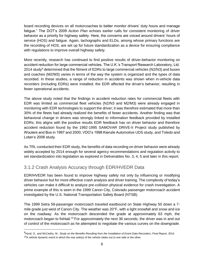board recording devices on all motorcoaches to better monitor drivers' duty hours and manage fatigue." The DOT's 2009 *Action Plan* echoes earlier calls for consistent monitoring of driver behavior as a priority for highway safety. Here, the concerns are voiced around drivers' hours of service (HOS) and fatigue. Again, tachographs and ELDs, among whose primary functions are the recording of HOS, are set up for future standardization as a device for ensuring compliance with regulations to improve overall highway safety.

More recently, research has continued to find positive results of driver-behavior monitoring on accident reduction for large commercial vehicles. The U.K.'s Transport Research Laboratory, Ltd. 2014 study<sup>9</sup> determined that the fitment of EDRs to large commercial vehicles (N2/N3) and buses and coaches (M2/M3) varies in terms of the way the system is organized and the types of data recorded. In these studies, a range of reduction in accidents was shown when in-vehicle data recorders (including EDRs) were installed; the EDR affected the driver's behavior, resulting in fewer operational accidents.

The above study noted that the findings in accident reduction rates for commercial fleets with EDR was limited as commercial fleet vehicles (N2/N3 and M2/M3) were already engaged in monitoring with EDR technologies to support the driver; it was therefore estimated that more than 30% of the fleets had already realized the benefits of fewer accidents. Another finding was that behavioral change in drivers was strongly linked to information feedback provided by installed EDRs; this aligns with the positive results EDR feedback has on driver behavior and therefore accident reduction found by the 1992-1995 SAMOVAR DRIVE-II Project study published by Wouters and Bos in 1997 and 2000, VDO's 1998 Kienzle Automotive UDS study, and Toledo and Lotan's 2006 study.

As TRL conducted their EDR study, the benefits of data recording on driver behavior were already widely accepted by 2014 enough for several agency recommendations and regulation activity to set standardization into legislation as explored in Deliverables No. 3, 4, 5 and later in this report.

### <span id="page-8-0"></span>3.1.2 Crash Analysis Accuracy through EDR/HVEDR Data

EDR/HVEDR has been found to improve highway safety not only by influencing or modifying driver behavior but for more effective crash analysis and driver training. The complexity of today's vehicles can make it difficult to analyze pre-collision physical evidence for crash investigation. A prime example of this is seen in the 1999 Canon City, Colorado passenger motorcoach accident investigated by the U.S. National Transportation Safety Board (NTSB).

The 1999 Setra 59-passenger motorcoach traveled eastbound on State Highway 50 down a 7 mile grade just west of Canon City. The weather was 20°F, with a light snowfall and snow and ice on the roadway. As the motorcoach descended the grade at approximately 63 mph, the motorcoach began to fishtail.<sup>10</sup> For approximately the next 36 seconds, the driver was in and out of control of the motorcoach as he attempted to negotiate the various curves on the downgrade.

<sup>9</sup>Hynd, D., and McCarthy, M., *Study on the Benefits Resulting from the Installation of Event Data Recorders, Final Report*, 2014.  $10A$  vehicle dynamic event in which the rear axle(s) of the vehicle slides out to one side or the other.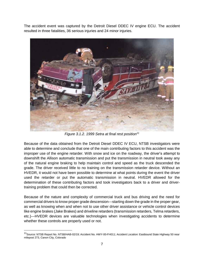The accident event was captured by the Detroit Diesel DDEC IV engine ECU. The accident resulted in three fatalities, 36 serious injuries and 24 minor injuries.



*Figure 3.1.2. 1999 Setra at final rest position<sup>11</sup>*

Because of the data obtained from the Detroit Diesel DDEC IV ECU, NTSB investigators were able to determine and conclude that one of the main contributing factors to this accident was the improper use of the engine retarder. With snow and ice on the roadway, the driver's attempt to downshift the Allison automatic transmission and put the transmission in neutral took away any of the natural engine braking to help maintain control and speed as the truck descended the grade. The driver received little to no training on the transmission retarder device. Without an HVEDR, it would not have been possible to determine at what points during the event the driver used the retarder or put the automatic transmission in neutral. HVEDR allowed for the determination of these contributing factors and took investigators back to a driver and drivertraining problem that could then be corrected.

Because of the nature and complexity of commercial truck and bus driving and the need for commercial drivers to know proper grade descension*—*starting down the grade in the proper gear, as well as knowing when and when not to use other driver assistance or vehicle control devices like engine brakes (Jake Brakes) and driveline retarders (transmission retarders, Telma retarders, etc.)*—*HVEDR devices are valuable technologies when investigating accidents to determine whether these controls are properly used or not.

<sup>&</sup>lt;sup>11</sup> Source: NTSB Report No. NTSB/HAB-02/19; Accident No. HWY-00-FH011; Accident Location: Eastbound State Highway 50 near milepost 273, Canon City, Colorado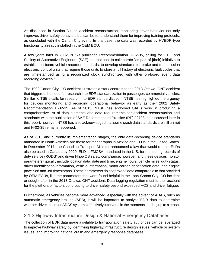As discussed in Section 3.1 on accident reconstruction, monitoring driver behavior not only improves driver safety behaviors but can better understand them for improving training protocols, as concluded with the Canon City event. In this case, the data was recorded by HVEDR-type functionality already installed in the OEM ECU.

A few years later in 2002, NTSB published Recommendation H-02-35, calling for IEEE and Society of Automotive Engineers (SAE) International to collaborate "as part of [their] initiative to establish on-board vehicle recorder standards, to develop standards for brake and transmission electronic control units that require those units to store a full history of electronic fault codes that are time-stamped using a recognized clock synchronized with other on-board event data recording devices."

The 1999 Canon City, CO accident illustrates a stark contrast to the 2013 Ottawa, ONT accident that triggered the need for research into EDR standardization in passenger, commercial vehicles. Similar to TSB's calls for research into EDR standardization, NTSB has highlighted the urgency for devices monitoring and recording operational behavior as early as their 2002 Safety Recommendation H-02-35. As of 2013, NTSB has endorsed SAE's work in producing a comprehensive list of data elements and data requirements for accident reconstruction and standards with the publication of SAE Recommended Practice (RP) J2728; as discussed later in this report, however, NTSB has also acknowledged that some crash data standards are still unmet and H-02-35 remains reopened.

As of 2015 and currently in implementation stages, the only data-recording device standards mandated in North America are those for tachographs in Mexico and ELDs in the United States. In December 2017, the Canadian Transport Minister announced a law that would require ELDs also be used in Canada by 2020. ELD is FMCSA-mandated in the U.S. for monitoring records of duty service (RODS) and driver HhowOS safety compliance, however, and these devices monitor parameters typically include location data, date and time, engine hours, vehicle miles, duty status, driver identification information, vehicle information, motor carrier identification data, and engine power-on and -off timestamps. These parameters do not provide data comparable to that provided by OEM ECUs, like the parameters that were found helpful in the 1999 Canon City, CO incident or sought after in the 2013 Ottawa, ONT accident. Data-logging regulation must further account for the plethora of factors contributing to driver safety beyond exceeded HOS and driver fatigue.

Furthermore, as vehicles become more advanced, especially with the advent of ADAS, such as automatic emergency braking (AEB), it will be important to analyze EDR data to determine whether driver inputs or ADAS systems effectively intervene in the moments leading up to a crash.

### <span id="page-10-0"></span>3.1.3 Highway Infrastructure Design & National Emergency Databases

The collection of EDR data made available to transportation safety authorities can be leveraged to improve highway safety by identifying highway/infrastructure design issues, vehicle or system issues, and improving national crash and emergency response databases.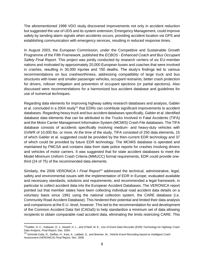The aforementioned 1998 VDO study discovered improvements not only in accident reduction but suggested the use of UDS and its system extension, Emergency Management, could improve safety by sending alarm signals when accidents occurs, providing accident location via GPS and establishing communication with emergency services, resulting in reduced response times.

In August 2003, the European Commission, under the Competitive and Sustainable Growth Programme of the Fifth Framework, published the *ECBOS - Enhanced Coach and Bus Occupant Safety Final Report*. This project was jointly conducted by research centers of six EU-member nations and motivated by approximately 20,000 European buses and coaches that were involved in crashes, resulting in 30,000 injuries and 150 deaths. The study's findings led to various recommendations on bus crashworthiness, addressing compatibility of large truck and bus structures with lower and smaller passenger vehicles, occupant restraints, better crash protection for drivers, rollover mitigation and prevention of occupant ejections (or partial ejections). Also discussed were recommendations for a harmonized bus accident database and guidelines for use of numerical techniques.

Regarding data elements for improving highway safety research databases and analysis, Gabler et al. concluded in a 2004 study<sup>12</sup> that EDRs can contribute significant improvements to accident databases. Regarding heavy truck and bus accident databases specifically, Gabler et al. identified database data elements that can be attributed to the Trucks Involved in Fatal Accidents (TIFA) and the Motor Carrier Management Information System (MCMIS) Crash File databases. The TIFA database consists of accidents specifically involving medium- and heavy-duty vehicles with GVWR of 10,000 lbs. or more. At the time of the study, TIFA consisted of 250 data elements, 15 of which Gabler et al. suggested could be provided by the then-current EDR technology and 37 of which could be provided by future EDR technology. The MCMIS database is operated and maintained by FMCSA and contains data from state police reports for crashes involving drivers and vehicles of motor carriers. It was suggested that for state accident databases to meet the Model Minimum Uniform Crash Criteria (MMUCC) format requirements, EDR could provide onethird (24 of 75) of the recommended data elements.

Similarly, the 2006 VERONICA I *Final Report<sup>13</sup>* addressed the technical, administrative, legal, safety and environmental issues with the implementation of EDR in Europe; evaluated available and necessary standards, solutions and requirements; and recommended a legal framework, in particular to collect accident data into the European Accident Databases. The VERONICA report pointed out that member states have been collecting individual road accident data details on a voluntary basis since 1991 using the national collection system, the CARE database (i.e. Community Road Accident Database). This hindered their potential and limited their data analysis and comparisons at the E.U.-level, however. This led to the recommendation for and development of the Common Accident Data Set (CADaS) to help standardize a minimum set of data allowing recipients to obtain comparable road accident data, eliminating the limits restricting CARE. This

<sup>12</sup>Gabler, H. C., Gabauer, D. J., Newell, H. L., and O'Neill, M. E., *Use of Event Data Recorder (EDR) Technology for Highway Crash Data Analysis, Final Report*, Dec. 2004.

<sup>13</sup> Schmidt-Cotta, R., Steffan, H., Kast, A., Labbett, S., and Brenner, M., *Vehicle Event Recording based on Intelligent Crash Assessment (VERONICA) Final Report,* Nov. 2006.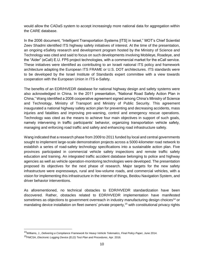would allow the CADaS system to accept increasingly more national data for aggregation within the CARE database.

In the 2006 document, "Intelligent Transportation Systems [ITS] in Israel," MOT's Chief Scientist Zeev Shadmi identified ITS highway safety initiatives of interest. At the time of the presentation, an ongoing eSafety research and development program hosted by the Ministry of Science and Technology was cited and said to focus on such developments involving Mobileye, Roadeye, and the "Aider" (eCall) E.U. FP5 project technologies, with a commercial market for the eCall service. These initiatives were identified as contributing to an Israeli national ITS policy and framework architecture adapting the European ITS FRAME or U.S. DOT architectures. ITS standards were to be developed by the Israel Institute of Standards expert committee with a view towards cooperation with the European Union in ITS e-Safety.

The benefits of an EDR/HVEDR database for national highway design and safety systems were also acknowledged in China. In the 2011 presentation, "National Road Safety Action Plan in China," Wang identified a 2008 cooperative agreement signed among China's Ministry of Science and Technology, Ministry of Transport and Ministry of Public Security. This agreement inaugurated a national highway safety action plan for preventing and decreasing accidents, mass injuries and fatalities and improving pre-warning, control and emergency rescue operations. Technology was cited as the means to achieve four main objectives in support of such goals, namely intervening in traffic participants' behavior, organizing transportation vehicle safety, managing and enforcing road traffic and safety and enhancing road infrastructure safety.

Wang indicated that a research phase from 2009 to 2011 funded by local and central governments sought to implement large-scale demonstration projects across a 5000-kilometer road network to establish a series of road-safety technology specifications into a sustainable action plan. Five provinces participated in commercial vehicle safety inspections and remote traffic safety education and training. An integrated traffic accident database belonging to police and highway agencies as well as vehicle operation-monitoring technologies were developed. The presentation proposed its objectives for the next phase of research. Major targets for the new safety infrastructure were expressways, rural and low-volume roads, and commercial vehicles, with a vision for implementing this infrastructure in the internet of things, Beidou Navigation System, and driver behavior interventions.

As aforementioned, no technical obstacles to EDR/HVEDR standardization have been discovered. Rather, obstacles related to EDR/HVEDR implementation have manifested sometimes as objections to government overreach in industry manufacturing design choices<sup>14</sup> or mandating device installation on fleet owners' private property,<sup>15</sup> with constitutional privacy rights

<sup>14</sup>Williams, J., *Delivering a Compliance Framework for Heavy Vehicle Telematics, Final Policy Pape*r, June 2014.

<sup>15</sup>FMCSA, *Electronic Logging Device (ELD) Test Plan and Procedures*, Apr. 2016.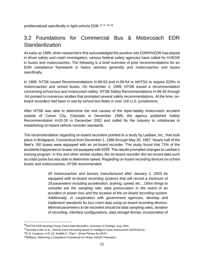<span id="page-13-0"></span>problematized specifically in light-vehicle EDR.<sup>16 17 18 19</sup>

### 3.2 Foundations for Commercial Bus & Motorcoach EDR Standardization

As early as 1999, when researchers first acknowledged the positive role EDR/HVEDR has played in driver safety and crash investigation, various federal safety agencies have called for HVEDR in buses and motorcoaches. The following is a brief overview of prior recommendations for an EDR compliance framework in heavy vehicles generally and motorcoaches and buses specifically.

In 1999, NTSB issued Recommendations H-99-53 and H-99-54 to NHTSA to require EDRs in motorcoaches and school buses. On November 2, 1999, NTSB issued a recommendation concerning school bus and motorcoach safety. NTSB Safety Recommendations H-99-45 through -54 pointed to numerous studies that prompted several safety recommendations. At the time, onboard recorders had been in use by school bus fleets in over 100 U.S. jurisdictions.

After NTSB was able to determine the root causes of the triple-fatality motorcoach accident outside of Canon City, Colorado in December 1999, the agency published Safety Recommendation H-02-35 in December 2002 and called for the industry to collaborate in establishing on-board vehicle recorder standards.

The recommendation regarding on-board recorders pointed to a study by Laidlaw, Inc., that took place in Bridgeport, Connecticut from December 1, 1996 through May 30, 1997. Nearly half of the fleet's 150 buses were equipped with an on-board recorder. The study found that 72% of the accidents happened on buses not equipped with EDR. The results prompted changes to Laidlaw's training program. In this and other similar studies, the on-board recorder did not record data such as crash pulse but was able to determine speed. Regarding on-board recording devices on school buses and motorcoaches, NTSB recommended,

> *All motorcoaches and busses manufactured after January 1, 2003 be equipped with on-board recording systems that will record a minimum of 18 parameters including acceleration, braking, speed, etc…Other things to consider are the sampling rate, data preservation in the event of an accident or power loss and the location of the on-board recording system. Additionally, in cooperation with government agencies, develop and implement standards for bus crash data using on-board recording devices. Minimal parameters to be recorded should be data sampling rates, duration of recording, interface configurations, data storage format, incorporation of*

<sup>16</sup>NHTSA EDR Working Group, *Event Data Recorders: Summary of Findings*, Aug. 2001.

<sup>17</sup>Schmidt-Cotta, et al., *Vehicle Event Recording based on Intelligent Crash Assessment (VERONICA)*.

<sup>18</sup>U.S. Congress, H.R. 22, Subtitle C, "Part I - Driver Privacy Act 2015."

<sup>19</sup>Williams, *Delivering a Compliance Framework for Heavy Vehicle Telematics*.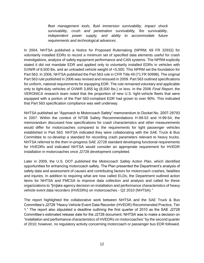*fleet management tools, fluid immersion survivability, impact shock survivability, crush and penetration survivability, fire survivability, independent power supply, and ability to accommodate future requirements and technological advances*.

In 2004, NHTSA published a Notice for Proposed Rulemaking (NPRM; 69 FR 32932) for voluntarily installed EDRs to record a minimum set of specified data elements useful for crash investigations, analysis of safety equipment performance and CAN systems. The NPRM explicitly stated it did not mandate EDR and applied only to voluntarily installed EDRs in vehicles with GVWR of 8,500 lbs. and an unloaded vehicle weight of <5,500. This NPRM set the foundation for Part 563. In 2006, NHTSA published the Part 563 rule in CFR Title 49 (71 FR 50998). The original Part 563 rule published in 2006 was revised and reissued in 2009. Part 563 outlined specifications for uniform, national requirements for equipping EDR. The rule remained voluntary and applicable only to light-duty vehicles of GVWR 3,855 kg (8,500 lbs.) or less. In the 2006 *Final Report*, the VERONICA research team noted that the proportion of new U.S. light-vehicle fleets that were equipped with a portion of the Part 563-compliant EDR had grown to over 90%. This indicated that Part 563 specification compliance was well underway.

NHTSA published an "Approach to Motorcoach Safety" memorandum to Docket No. 2007-28793 in 2007. Within the context of NTSB Safety Recommendations H-99-53 and H-99-54, the memorandum discussed how specifications for crash characteristics and other measurements would differ for motorcoaches compared to the requirements for light passenger vehicles established in Part 563. NHTSA indicated they were collaborating with the SAE Truck & Bus Committee to co-develop a standard for recording crash parameters relevant to heavy trucks. NHTSA referred to the then in-progress SAE J2728 standard developing functional requirements for HVEDRs and indicated NHTSA would consider an appropriate requirement for HVEDR installation in motorcoaches once J2728 development completed.

Later in 2009, the U.S. DOT published the *Motorcoach Safety Action Plan*, which identified opportunities for enhancing motorcoach safety. The Plan presented the Department's analysis of safety data and assessment of causes and contributing factors for motorcoach crashes, fatalities and injuries. In addition to requiring what are now called ELDs, the Department outlined action items for NHTSA and FMCSA to improve data collection and analysis and called for these organizations to *"*[m]ake agency decision on installation and performance characteristics of heavy vehicle event data recorders (HVEDRs) on motorcoaches - Q2 2010 (NHTSA).*"* 

The report highlighted the collaborative work between NHTSA and the SAE Truck & Bus Committee's J2728 "Heavy Vehicle Event Data Recorder (HVEDR) Recommended Practice, Tier 1." The report also stipulated a deadline outlining the first quarter of 2010 as the SAE J2728 Committee's estimated release date for the J2728 document. NHTSA was to make a decision on "installation and performance characteristics of HVEDRs on motorcoaches*"* by the second quarter of 2010; however, no regulatory activity concerning motorcoach or passenger bus EDR followed.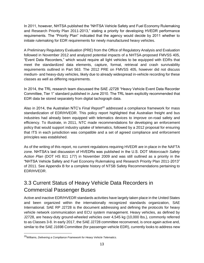In 2011, however, NHTSA published the "NHTSA Vehicle Safety and Fuel Economy Rulemaking and Research Priority Plan 2011-2013," stating a priority for developing HVEDR performance requirements. The "Priority Plan" indicated that the agency would decide by 2011 whether to initiate rulemaking for EDR requirements for newly manufactured heavy vehicles.

A Preliminary Regulatory Evaluation (PRE) from the Office of Regulatory Analysis and Evaluation followed in November 2012 and analyzed potential impacts of a NHTSA-proposed FMVSS 405, "Event Data Recorders," which would require all light vehicles to be equipped with EDRs that meet the standardized data elements, capture, format, retrieval and crash survivability requirements outlined in Part 563. The 2012 PRE on FMVSS 405, however did not discuss medium- and heavy-duty vehicles, likely due to already widespread in-vehicle recording for these classes as well as differing requirements.

In 2014, the TRL research team discussed the SAE J2728 "Heavy Vehicle Event Data Recorder Committee, Tier 1" standard published in June 2010. The TRL team explicitly recommended that EDR data be stored separately from digital tachograph data.

Also in 2014, the Australian NTC's *Final Report<sup>20</sup>* addressed a compliance framework for mass standardization of EDR/HVEDR. This policy report highlighted that Australian freight and bus industries had already been equipped with telematics devices to improve on-road safety and efficiency. To illustrate, in 2011, NTC made recommendations for developing an enforcement policy that would support industry uptake of telematics, followed by a 2012 proposal for ensuring that ITS in each jurisdiction was compatible and a set of agreed compliance and enforcement principles was established.

As of the writing of this report, no current regulations requiring HVEDR are in place in the NAFTA zone. NHTSA's last discussion of HVEDRs was published in the U.S. DOT *Motorcoach Safety Action Plan* (DOT HS 811 177) in November 2009 and was still outlined as a priority in the "NHTSA Vehicle Safety and Fuel Economy Rulemaking and Research Priority Plan 2011-2013" of 2011. See Appendix B for a complete history of NTSB Safety Recommendations pertaining to EDR/HVEDR.

## <span id="page-15-0"></span>3.3 Current Status of Heavy Vehicle Data Recorders in Commercial Passenger Buses

Active and inactive EDR/HVEDR standards activities have largely taken place in the United States and been organized within the internationally recognized standards organization, SAE International. SAE RP J2728 is the document addressing and defining the protocols for heavy vehicle network communication and ECU system management. Heavy vehicles, as defined by J2728, are heavy-duty ground-wheeled vehicles over 4,545 kg (10,000 lbs.), commonly referred to as Classes 3-8. In early 2017, the SAE J2728 committee reconvened, is once again active and, similar to the SAE J1698 Committee (for passenger-vehicle EDR), currently looks to address new

<sup>20</sup>Williams, *Delivering a Compliance Framework for Heavy Vehicle Telematics.*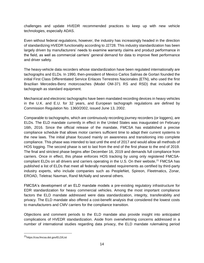challenges and update HVEDR recommended practices to keep up with new vehicle technologies, especially ADAS.

Even without federal regulations, however, the industry has increasingly headed in the direction of standardizing HVEDR functionality according to J2728. This industry standardization has been largely driven by manufacturers' needs to examine warranty claims and product performance in the field, as well as commercial carriers' general demand for data to improve fleet performance and driver safety.

The heavy-vehicle data recorders whose standardization have been regulated internationally are tachographs and ELDs. In 1990, then-president of Mexico Carlos Salinas de Gortari founded the initial First Class Differentiated Service Enlaces Terrestres Nacionales (ETN), who used the first Brazilian Mercedes-Benz motorcoaches (Model OM-371 RS and RSD) that included the tachograph as standard equipment.

Mechanical and electronic tachographs have been mandated recording devices in heavy vehicles in the U.K. and E.U. for 32 years, and European tachograph regulations are defined by Commission Regulation No. 1360/2002, issued June 13, 2002.

Comparable to tachographs, which are continuously recording journey recorders (or loggers), are ELDs. The ELD mandate currently in effect in the United States was inaugurated on February 16th, 2016. Since the official release of the mandate, FMCSA has established a precise compliance schedule that allows motor carriers sufficient time to adapt their current systems to the new laws. The initial phase focused mainly on awareness and transitioning into complete compliance. This phase was intended to last until the end of 2017 and would allow all methods of HOS logging. The second phase is set to last from the end of the first phase to the end of 2019. The final and strictest phase begins after December 16, 2019 and demands full compliance from carriers. Once in effect, this phase enforces HOS tracking by using only registered FMCSAcompliant ELDs on all drivers and carriers operating in the U.S. On their website, $2<sup>1</sup>$  FMCSA has published a list of ELDs that meet all federally mandated requirements as certified by third-party industry experts, who include companies such as PeopleNet, Spireon, Fleetmatics, Zonar, EROAD, Teletrac Navman, Rand McNally and several others.

FMCSA's development of an ELD mandate models a pre-existing regulatory infrastructure for EDR standardization for heavy commercial vehicles. Among the most important compliance factors the ELD mandate addressed were data standardization, integrity, transferability and privacy. The ELD mandate also offered a cost-benefit analysis that considered the lowest costs to manufacturers and CMV carriers for the compliance transition.

Objections and comment periods to the ELD mandate also provide insight into anticipated complications of HVEDR standardization. Aside from overwhelming concerns addressed in a number of international studies regarding data privacy, the ELD mandate rulemaking period

<sup>21</sup>https://csa.fmcsa.dot.gov/ELD/List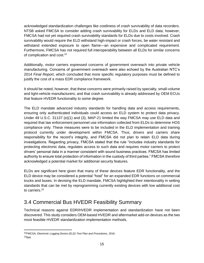acknowledged standardization challenges like costliness of crash survivability of data recorders. NTSB asked FMCSA to consider adding crash survivability for ELDs and ELD data; however, FMCSA had not yet required crash survivability standards for ELDs due to costs involved. Crash survivability would require the ELD withstand high-impact or crash forces, be water resistant and withstand extended exposure to open flame—an expensive and complicated requirement. Furthermore, FMCSA has not required full interoperability between all ELDs for similar concerns of complication and cost.<sup>22</sup>

Additionally, motor carriers expressed concerns of government overreach into private vehicle manufacturing. Concerns of government overreach were also echoed by the Australian NTC's 2014 *Final Report*, which concluded that more specific regulatory purposes must be defined to justify the cost of a mass EDR compliance framework.

It should be noted, however, that these concerns were primarily raised by specialty, small-volume and light-vehicle manufacturers, and that crash survivability is already addressed by OEM ECUs that feature HVEDR functionality to some degree.

The ELD mandate advanced industry standards for handling data and access requirements, ensuring only authenticated individuals could access an ELD system to protect data privacy. Under 49 U.S.C. 31137 (e)(1) and (3), MAP-21 limited the way FMCSA may use ELD data and required that law enforcement personnel use information collected from ELDs to determine HOS compliance only. These measures were to be included in the ELD implementation and training protocol currently under development within FMCSA. Thus, drivers and carriers share responsibility for the record's integrity, and FMCSA did not plan to retain ELD data during investigations. Regarding privacy, FMCSA stated that the rule "includes industry standards for protecting electronic data, regulates access to such data and requires motor carriers to protect drivers' personal data in a manner consistent with sound business practices. FMCSA has limited authority to ensure total protection of information in the custody of third parties." FMCSA therefore acknowledged a potential market for additional security features.

ELDs are significant here given that many of these devices feature EDR functionality, and the ELD device may be considered a potential "host" for an expanded EDR functions on commercial trucks and buses. In devising the ELD mandate, FMCSA highlighted their intentionality in setting standards that can be met by reprogramming currently existing devices with low additional cost to carriers.<sup>23</sup>

### <span id="page-17-0"></span>3.4 Commercial Bus HVEDR Feasibility Summary

Technical reasons against EDR/HVEDR implementation and standardization have not been discovered. This study considers OEM-based HVEDR and aftermarket add-on devices as the two most feasible HVEDR standardization implementation methods.

<sup>22</sup>FMCSA, *Electronic Logging Device (ELD) Test Plan and Procedures*, 2016.  $23$ Ibid.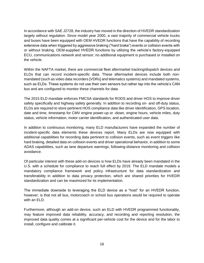In accordance with SAE J2728, the industry has moved in the direction of HVEDR standardization largely without regulation. Since model year 2000, a vast majority of commercial vehicle trucks and buses have been equipped with OEM HVEDR functions that have the capability of recording extensive data when triggered by aggressive braking ("hard brake") events or collision events with or without braking. OEM-supplied HVEDR functions by utilizing the vehicle's factory-equipped ECU, communications network and sensor; no additional equipment is purchased or installed on the vehicle.

Within the NAFTA market, there are commercial fleet aftermarket tracking/dispatch devices and ELDs that can record incident-specific data. These aftermarket devices include both nonmandated (such as video data recorders [VDRs] and telematics systems) and mandated systems, such as ELDs. These systems do not use their own sensors but rather tap into the vehicle's CAN bus and are configured to monitor these channels for data.

The 2015 ELD mandate enforces FMCSA standards for RODS and driver HOS to improve driver safety specifically and highway safety generally. In addition to recording on- and off-duty status, ELDs are required to store pertinent HOS compliance data like driver identification, GPS location, date and time, timestamp for CMV engine power-up or -down, engine hours, vehicle miles, duty status, vehicle information, motor carrier identification, and authenticated user data.

In addition to continuous monitoring, many ELD manufacturers have expanded the number of incident-specific data elements these devices report. Many ELDs are now equipped with additional capabilities for recording data pertinent to collision events, such as event triggers like hard braking, detailed data on collision events and driver operational behavior, in addition to some ADAS capabilities, such as lane departure warnings, following-distance monitoring and collision avoidance.

Of particular interest with these add-on devices is how ELDs have already been mandated in the U.S. with a schedule for compliance to reach full effect by 2019. The ELD mandate models a mandatory compliance framework and policy infrastructure for data standardization and transferability in addition to data privacy protection, which are shared priorities for HVEDR standardization and can be maximized for its implementation.

The immediate downside to leveraging the ELD device as a "host" for an HVEDR function, however, is that not all bus, motorcoach or school bus operations would be required to operate with an ELD.

Furthermore, although an add-on device, such an ELD with HVEDR programmed functionality, may feature improved data reliability, accuracy, and recording and reporting resolution, the improved data quality comes at a significant per-vehicle cost for the device and for the labor to install, configure and calibrate it.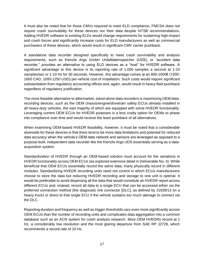It must also be noted that for those CMVs required to meet ELD compliance, FMCSA does not require crash survivability for these devices nor their data despite NTSB recommendations. Adding HVEDR software to existing ELDs would change requirements for sustaining high-impact and crash forces and significantly increase costs for ELD manufacturers as well as commercial purchasers of these devices, which would result in significant CMV carrier pushback.

A standalone data recorder designed specifically to meet crash survivability and analysis requirements, such as Kienzle Argo GmbH *Unfalldatenspeicher* (UDS), or "accident data recorder," provides an alternative to using ELD devices as a "host" for HVEDR software. A significant advantage to this device is its reporting rate of 1,000 samples a second at 1-10 samples/sec or 1-10 Hz for 30 seconds. However, this advantage comes at an 800-1000€ (1200- 1600 CAD, 1000-1250 USD) per-vehicle cost of installation. Such costs would require significant substantiation from regulatory accounting offices and, again, would result in heavy fleet pushback regardless of regulatory justification.

The more feasible alternative to aftermarket, stand-alone data recorders is maximizing OEM datarecording devices, such as the OEM chassis/engine/drivetrain safety ECUs already installed in all heavy-duty vehicles, the vast majority of which are equipped with some HVEDR functionality. Leveraging current OEM ECUs for HVEDR purposes is a less costly option for OEMs to phase into compliance over time and would receive the least pushback of all alternatives.

When examining OEM-based HVEDR feasibility, however, it must be noted that a considerable downside for these devices is that there tend to be more data limitations and potential for reduced data accuracy when the vehicle's OEM data network and sensors are leveraged as opposed to a purpose-built, independent data recorder like the Kienzle Argo UDS essentially serving as a dataacquisition system.

Standardization of HVEDR through an OEM-based solution must account for the variations in HVEDR functionality across OEM ECUs (as explored extensive detail in Deliverable No. 4). While beneficial that OEM ECUs essentially record the same data, many physically record in different modules. Standardizing HVEDR recording units need not control in which ECUs manufacturers choose to store the data but reducing HVEDR recording and storage to one unit is optimal. It would be preferable to avoid dispersing all the data that would constitute an HVEDR report across different ECUs and, instead, record all data to a single ECU that can be accessed either via the preferred connection method (the diagnostic link connector [DLC], as defined by J1939/13 on a heavy truck) or direct to that single ECU if the vehicle sustains too much damage to connect via the DLC.

Reporting duration and frequency as well as trigger thresholds vary even more significantly across OEM ECUs than the number of recording units and complicates data aggregation into a common database such as an ACN system for crash analysis research. Most OEM HVEDRs record at 1 Hz, a considerably low resolution and the most glaring departure from SAE RP J2728, which recommends a record rate of 10 Hz.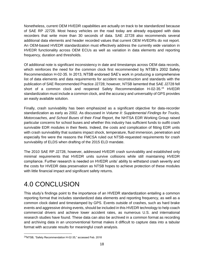Nonetheless, current OEM HVEDR capabilities are actually on track to be standardized because of SAE RP J2728. Most heavy vehicles on the road today are already equipped with data recorders that write more than 30 seconds of data. SAE J2728 also recommends several additional data elements and header recorded values that current OEM HVEDRs do not report. An OEM-based HVEDR standardization must effectively address the currently wide variation in HVEDR functionality across OEM ECUs as well as variation in data elements and reporting frequency, duration and thresholds.

Of additional note is significant inconsistency in date and timestamps across OEM data records, which reinforces the need for the common clock first recommended by NTSB's 2002 Safety Recommendation H-02-35. In 2013, NTSB endorsed SAE's work in producing a comprehensive list of data elements and data requirements for accident reconstruction and standards with the publication of SAE Recommended Practice J2728; however, NTSB lamented that SAE J2728 fell short of a common clock and reopened Safety Recommendation H-02-35.<sup>24</sup> HVEDR standardization must include a common clock, and the accuracy and universality of GPS provides an easily available solution.

Finally, crash survivability has been emphasized as a significant objective for data-recorder standardization as early as 2002. As discussed in *Volume II: Supplemental Findings for Trucks, Motorcoaches, and School Buses* of their *Final Report*, the NHTSA EDR Working Group raised particular concerns for school buses and whether this industry has sufficient funds to outfit crash survivable EDR modules in their fleets. Indeed, the costs and complication of fitting EDR units with crash survivability that sustains impact shock, temperature, fluid immersion, penetration and especially fire were the reasons the FMCSA ruled out NTSB-requested requirements for crash survivability of ELDS when drafting of the 2015 ELD mandate.

The 2010 SAE RP J2728, however, addressed HVEDR crash survivability and established only minimal requirements that HVEDR units survive collisions while still maintaining HVEDR compliance. Further research is needed on HVEDR units' ability to withstand crash severity and the costs for HVEDR data preservation as NTSB hopes to achieve protection of these modules with little financial impact and significant safety returns.

## <span id="page-20-0"></span>4.0 CONCLUSION

This study's findings point to the importance of an HVEDR standardization entailing a common reporting format that includes standardized data elements and reporting frequency, as well as a common clock dated and timestamped by GPS. Events outside of crashes, such as hard brake events and aggressive driving events, should be included in this HVEDR technology to help coach commercial drivers and achieve lower accident rates, as numerous U.S. and international research studies have found. These data can also be archived in a common format as recording and archiving data in an unconventional format makes it difficult to capture data into a tabular format with accurate results for meaningful crash analysis.

<sup>24</sup>NTSB, "Safety Recommendation H-02-35," accessed Feb. 2018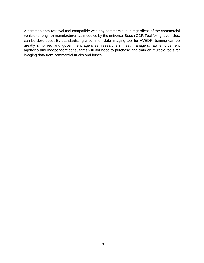A common data-retrieval tool compatible with any commercial bus regardless of the commercial vehicle (or engine) manufacturer, as modeled by the universal Bosch CDR Tool for light vehicles, can be developed. By standardizing a common data imaging tool for HVEDR, training can be greatly simplified and government agencies, researchers, fleet managers, law enforcement agencies and independent consultants will not need to purchase and train on multiple tools for imaging data from commercial trucks and buses.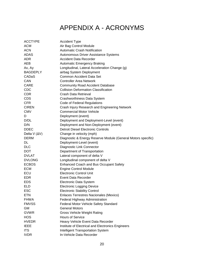## APPENDIX A - ACRONYMS

<span id="page-22-0"></span>

| <b>ACCTYPE</b>       | <b>Accident Type</b>                                         |
|----------------------|--------------------------------------------------------------|
| <b>ACM</b>           | Air Bag Control Module                                       |
| <b>ACN</b>           | <b>Automatic Crash Notification</b>                          |
| <b>ADAS</b>          | Autonomous Driver Assistance Systems                         |
| <b>ADR</b>           | Accident Data Recorder                                       |
| AEB                  | <b>Automatic Emergency Braking</b>                           |
| Ax, Ay               | Longitudinal, Lateral Acceleration Change (g)                |
| <b>BAGDEPLY</b>      | airbag System Deployment                                     |
| CADaS                | <b>Common Accident Data Set</b>                              |
| CAN                  | <b>Controller Area Network</b>                               |
| <b>CARE</b>          | <b>Community Road Accident Database</b>                      |
| <b>CDC</b>           | <b>Collision Deformation Classification</b>                  |
| <b>CDR</b>           | Crash Data Retrieval                                         |
| <b>CDS</b>           | Crashworthiness Data System                                  |
| <b>CFR</b>           | Code of Federal Regulations                                  |
| <b>CIREN</b>         | Crash Injury Research and Engineering Network                |
| <b>CMV</b>           | <b>Commercial Motor Vehicle</b>                              |
| D                    | Deployment (event)                                           |
| D/DL                 | Deployment and Deployment-Level (event)                      |
| D/N                  | Deployment and Non-Deployment (event)                        |
| <b>DDEC</b>          | <b>Detroit Diesel Electronic Controls</b>                    |
| Delta V $(\Delta V)$ | Change in velocity (mph)                                     |
| DERM                 | Diagnostic & Energy Reserve Module (General Motors specific) |
| DL                   | Deployment-Level (event)                                     |
| <b>DLC</b>           | Diagnostic Link Connector                                    |
| <b>DOT</b>           | Department of Transportation                                 |
| <b>DVLAT</b>         | Lateral component of delta V                                 |
| <b>DVLONG</b>        | Longitudinal component of delta V                            |
| <b>ECBOS</b>         | <b>Enhanced Coach and Bus Occupant Safety</b>                |
| <b>ECM</b>           | <b>Engine Control Module</b>                                 |
| ECU                  | <b>Electronic Control Unit</b>                               |
| <b>EDR</b>           | Event Data Recorder                                          |
| <b>EDS</b>           | <b>Electronic Data System</b>                                |
| ELD                  | <b>Electronic Logging Device</b>                             |
| ESC                  | <b>Electronic Stability Control</b>                          |
| <b>ETN</b>           | Enlaces Terrestres Nacionales (Mexico)                       |
| <b>FHWA</b>          | Federal Highway Administration                               |
| <b>FMVSS</b>         | Federal Motor Vehicle Safety Standard                        |
| GM                   | <b>General Motors</b>                                        |
| <b>GVWR</b>          | <b>Gross Vehicle Weight Rating</b>                           |
| <b>HOS</b>           | <b>Hours of Service</b>                                      |
| <b>HVEDR</b>         | Heavy Vehicle Event Data Recorder                            |
| <b>IEEE</b>          | Institute of Electrical and Electronics Engineers            |
| ITS                  | <b>Intelligent Transportation System</b>                     |
| <b>IVDR</b>          | In-Vehicle Data Recorder                                     |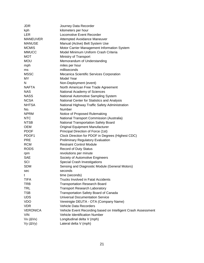| JDR               | Journey Data Recorder                                         |
|-------------------|---------------------------------------------------------------|
| kph               | kilometers per hour                                           |
| <b>LER</b>        | Locomotive Event Recorder                                     |
| <b>MANEUVER</b>   | Attempted Avoidance Maneuver                                  |
| <b>MANUSE</b>     | Manual (Active) Belt System Use                               |
| <b>MCMIS</b>      | Motor Carrier Management Information System                   |
| <b>MMUCC</b>      | Model Minimum Uniform Crash Criteria                          |
| <b>MOT</b>        | Ministry of Transport                                         |
| <b>MOU</b>        | Memorandum of Understanding                                   |
| mph               | miles per hour                                                |
| ms                | milliseconds                                                  |
| <b>MSSC</b>       | Mecanica Scientific Services Corporation                      |
| MY                | Model Year                                                    |
| Ν                 | Non-Deployment (event)                                        |
| <b>NAFTA</b>      | North American Free Trade Agreement                           |
| <b>NAS</b>        | National Academy of Sciences                                  |
| <b>NASS</b>       | National Automotive Sampling System                           |
| <b>NCSA</b>       | National Center for Statistics and Analysis                   |
| <b>NHTSA</b>      | National Highway Traffic Safety Administration                |
| No.               | Number                                                        |
| <b>NPRM</b>       | Notice of Proposed Rulemaking                                 |
| <b>NTC</b>        | National Transport Commission (Australia)                     |
| <b>NTSB</b>       | National Transportation Safety Board                          |
| <b>OEM</b>        | Original Equipment Manufacturer                               |
| <b>PDOF</b>       | Principal Direction of Force (1st)                            |
| PDOF <sub>1</sub> | Clock Direction for PDOF in Degrees (Highest CDC)             |
| <b>PRE</b>        | <b>Preliminary Regulatory Evaluation</b>                      |
| <b>RCM</b>        | <b>Restraint Control Module</b>                               |
| <b>RODS</b>       | <b>Record of Duty Status</b>                                  |
| rpm               | revolutions per minute                                        |
| <b>SAE</b>        | Society of Automotive Engineers                               |
| SCI               | Special Crash Investigations                                  |
| <b>SDM</b>        | Sensing and Diagnostic Module (General Motors)                |
| sec               | seconds                                                       |
| t                 | time (seconds)                                                |
| <b>TIFA</b>       | <b>Trucks Involved in Fatal Accidents</b>                     |
| <b>TRB</b>        | <b>Transportation Research Board</b>                          |
| <b>TRL</b>        | <b>Transport Research Laboratory</b>                          |
| <b>TSB</b>        | Transportation Safety Board of Canada                         |
| <b>UDS</b>        | <b>Universal Documentation Service</b>                        |
| <b>VDO</b>        | Vereinigte DEUTA - OTA (Company Name)                         |
| <b>VDR</b>        | Vehicle Data Recorders                                        |
| <b>VERONICA</b>   | Vehicle Event Recording based on Intelligent Crash Assessment |
| <b>VIN</b>        | Vehicle Identification Number                                 |
| $Vx (\Delta Vx)$  | Longitudinal delta V (mph)                                    |
| $Vy (\Delta Vy)$  | Lateral delta V (mph)                                         |
|                   |                                                               |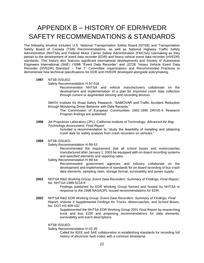## <span id="page-24-0"></span>APPENDIX B – HISTORY OF EDR/HVEDR SAFETY RECOMMENDATIONS & STANDARDS

The following timeline includes U.S. National Transportation Safety Board (NTSB) and Transportation Safety Board of Canada (TSB) Recommendations, as well as National Highway Traffic Safety Administration (NHTSA) and Federal Motor Carrier Safety Administration (FMCSA) rulemaking as they pertain to the development of event data recorder (EDR) and heavy vehicle event data recorder (HVEDR) standards. This history also features significant international developments and Society of Automotive Engineers International (SAE) J1698 "Event Data Recorder" and J2728 "Heavy Vehicle Event Data Recorder (HVEDR) Standard – Tier 1" Committee organizations and Recommended Practices to demonstrate how technical specifications for EDR and HVEDR developed alongside policymaking.

**1997** NTSB ISSUED.

Safety Recommendation H-97-018

Recommended NHTSA and vehicle manufacturers collaborate on the development and implementation of a plan for improved crash data collection through current or augmented sensing and recording devices.

SWOV Institute for Road Safety Research, "SAMOVAR and Traffic Accident Reduction through Monitoring Driver Behavior with Data Records."

The Commission of European Communities 1992-1995 DRIVE-II Research Program findings are published.

**1998** Jet Propulsion Laboratory (JPL), California Institute of Technology: *Advanced Air Bag Technology Assessment, Final Report*

> Included a recommendation to "study the feasibility of installing and obtaining crash data for safety analysis from crash recorders on vehicles*.*"

**1999** NTSB ISSUED.

Safety Recommendation H-99-53

Recommended the requirement that all school buses and motorcoaches manufactured after January 1, 2003 be equipped with on-board recording systems and specified elements and reporting rates.

Safety Recommendation H-99-54.

Recommended government agencies and industry collaborate on the development and implementation of standards for on-board recording of bus crash data elements, sampling rates, storage format, survivability and power supply.

**2001** NHTSA R&D Working Group: *Event Data Recorders: Summary of Findings, Final Report,* No. NHTSA-1999-5218-9

> Findings published by EDR Working Group formed and hosted by NHTSA in response to the 1998 NASA/JPL-issued recommendations for EDR.

**2002** NHTSA R&D EDR Working Group: *Event Data Recorders: Summary of Findings, Final Report, Volume II Supplemental Findings for Trucks, Motorcoaches, and School Buses*, No. DOT HS 809 432

> Supplemented the NHTSA EDR Working Group 2001 *Final Report* by researching truck and bus EDR and proposing recommendations for data elements, survivability and event descriptions.

NTSB ISSUED.

Safety Recommendation H-02-35

Called for IEEE and SAE collaboration in establishing standards for recording full history of electronic fault codes with a common timestamp.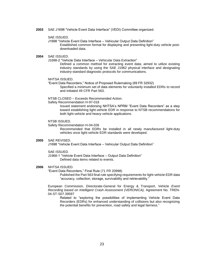**2003** SAE J1698 "Vehicle Event Data Interface" (VEDI) Committee organized.

#### SAE ISSUED.

J1698 "Vehicle Event Data Interface – Vehicular Output Data Definition"

Established common format for displaying and presenting light-duty vehicle postdownloaded data.

#### **2004** SAE ISSUED.

J1698-2 "Vehicle Data Interface – Vehicular Data Extraction"

Defined a common method for extracting event data; aimed to utilize existing industry standards by using the SAE J1962 physical interface and designating industry-standard diagnostic protocols for communications.

#### NHTSA ISSUED.

"Event Data Recorders," Notice of Proposed Rulemaking (69 FR 32932) Specified a minimum set of data elements for voluntarily installed EDRs to record and initiated 49 CFR Part 563.

NTSB CLOSED – Exceeds Recommended Action.

Safety Recommendation H-97-018

Issued statement endorsing NHTSA's NPRM "Event Data Recorders" as a step toward establishing light-vehicle EDR in response to NTSB recommendations for both light-vehicle and heavy-vehicle applications.

#### NTSB ISSUED.

Safety Recommendation H-04-026

Recommended that EDRs be installed in all newly manufactured light-duty vehicles once light-vehicle EDR standards were developed.

#### **2005** SAE REVISED.

J1698 "Vehicle Event Data Interface – Vehicular Output Data Definition"

#### SAE ISSUED.

J1968-1 "Vehicle Event Data Interface – Output Data Definition" Defined data items related to events.

#### **2006** NHTSA ISSUED.

"Event Data Recorders," Final Rule (71 FR 20998)

Published the Part 563 final rule specifying requirements for light-vehicle EDR data "accuracy, collection, storage, survivability and retrievability."

European Commission, Directorate-General for Energy & Transport, Vehicle *Event Recording based on Intelligent Crash Assessment (VERONICA),* Agreement No. TREN-04-ST-S07.39597

Related to "exploring the possibilities of implementing Vehicle Event Data Recorders (EDRs) for enhanced understanding of collisions but also recognizing the potential benefits for prevention, road safety and legal fairness*.*"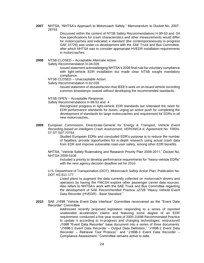**2007** NHTSA, "NHTSA's Approach to Motorcoach Safety," Memorandum to Docket No. 2007- 28793

> Discussed within the context of NTSB Safety Recommendations H-99-53 and -54 how specifications for crash characteristics and other measurements would differ for motorcoaches and indicated a standard (the contemporaneously in-progress SAE J2728) was under co-development with the SAE Truck and Bus Committee, after which NHTSA was to consider appropriate HVEDR installation requirements in motorcoaches.

**2008** NTSB CLOSED – Acceptable Alternate Action.

Safety Recommendation H-04-026

Issued statement acknowledging NHTSA's 2006 final rule for voluntary compliance with light-vehicle EDR installation but made clear NTSB sought mandatory compliance.

NTSB CLOSED – Unacceptable Action.

#### Safety Recommendation H-02-035

Issued statement of dissatisfaction that IEEE's work on on-board vehicle recording common timestamps ceased without developing the recommended standards.

NTSB OPEN – Acceptable Response.

Safety Recommendations H-99-53 and -4

Recognized progress in light-vehicle EDR standards but reiterated the need for EDR performance standards for buses, urging an active push for completing the development of standards for large motorcoaches and requirement for EDRs in all new motorcoaches.

**2009** European Commission, Directorate-General for Energy & Transport, *Vehicle Event Recording based on Intelligent Crash Assessment, VERONICA-II*, Agreement No. TREN-07-ST-S07.70764

> Studied European EDRs and concluded EDR's purpose is to reduce the number of fatalities, provide opportunities for in-depth research using actual crash data from EDR and improve vulnerable road-user safety, among other EDR benefits.

NHTSA, "Vehicle Safety Rulemaking and Research Priority Plan 2009-2011," Docket No. NHTSA-2009-0108

Included a priority to develop performance requirements for "heavy-vehicle EDRs" with the next agency decision deadline set for 2010.

U.S. Department of Transportation (DOT), *Motorcoach Safety Action Plan*, Publication No. DOT HS 811 177

Listed plans to augment the data currently collected on motorcoach drivers and operators by having the FMCSA explore other passenger carrier data sources. Also refers to NHTSA's work with the SAE Truck and Bus Committee regarding the development of SAE Recommended Practice J2728 "Heavy Vehicle Event Data Recorder (HVEDR) - Base Standard."

**2010** SAE J1698 "Vehicle Event Data Interface" Committee reconvened as the "Event Data Recorder" Committee

Addressed recently proposed legislation responding to a series of reported unattended acceleration claims and featuring some degree of an EDR requirement; conducted a five-year review of 2005 J1698 Recommended Practice to update it according to in-progress and changing technologies; restructured J1698 "Event Data Recorder" base document into a series of three documents: "J1698-1 Event Data Recorder – Output Data Definition," "J1698-2 Event Data Recorder – Retrieval Tool Protocol," and "J1698-3 Event Data Recorder – Compliance Assessment." Committee remains active to date.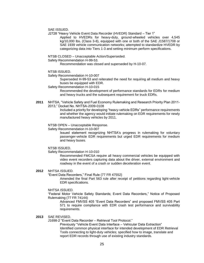SAE ISSUED.

J2728 "Heavy Vehicle Event Data Recorder (HVEDR) Standard – Tier 1"

Applied to HVEDRs for heavy-duty, ground-wheeled vehicles over 4,545 kg/10,000 lbs. (Class 3-8), equipped with one or both of the SAE J1587/1708 or SAE 1939 vehicle communication networks; attempted to standardize HVEDR by categorizing data into Tiers 1-3 and setting minimum perform specifications.

NTSB CLOSED – Unacceptable Action/Superseded.

Safety Recommendation H-99-53.

Recommendation was closed and superseded by H-10-07.

- NTSB ISSUED.
- Safety Recommendation H-10-007

Superseded H-99-53 and reiterated the need for requiring all medium and heavy buses be equipped with EDR.

Safety Recommendation H-10-015

Recommended the development of performance standards for EDRs for medium and heavy trucks and the subsequent requirement for truck EDRs.

**2011** NHTSA, "Vehicle Safety and Fuel Economy Rulemaking and Research Priority Plan 2011- 2013," Docket No. NHTSA-2009-0108

> Included a priority for developing "heavy-vehicle EDRs" performance requirements and whether the agency would initiate rulemaking on EDR requirements for newly manufactured heavy vehicles by 2011.

NTSB OPEN – Unacceptable Response.

Safety Recommendation H-10-007

Issued statement recognizing NHTSA's progress in rulemaking for voluntary passenger-vehicle EDR requirements but urged EDR requirements for medium and heavy buses.

NTSB ISSUED.

Safety Recommendation H-10-010

Recommended FMCSA require all heavy commercial vehicles be equipped with video event recorders capturing data about the driver, external environment and roadway in the event of a crash or sudden deceleration event.

#### **2012** NHTSA ISSUED.

"Event Data Recorders," Final Rule (77 FR 47552)

Amended the final Part 563 rule after receipt of petitions regarding light-vehicle EDR specifications.

#### NHTSA ISSUED.

"Federal Motor Vehicle Safety Standards; Event Data Recorders," Notice of Proposed Rulemaking (77 FR 74144)

Advanced FMVSS 405 "Event Data Recorders" and proposed FMVSS 405 Part 571 to require compliance with EDR crash test performance and survivability requirements.

#### **2013** SAE REVISED.

J1698-2 "Event Data Recorder – Retrieval Tool Protocol."

Previously "Vehicle Event Data Interface – Vehicular Data Extraction" Identified common physical interface for intended development of EDR Retrieval Tools connecting to light-duty vehicles; specified how to image, translate and report EDR records through use of existing industry standards.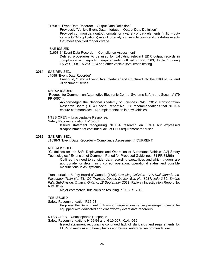J1698-1 "Event Data Recorder – Output Data Definition"

Previously "Vehicle Event Data Interface – Output Data Definition" Provided common data output formats for a variety of data elements (in light-duty vehicle OEM applications) useful for analyzing vehicle crash and crash-like events that meet specified trigger criteria.

#### SAE ISSUED.

J1698-3 "Event Data Recorder – Compliance Assessment"

Defined procedures to be used for validating relevant EDR output records in compliance with reporting requirements outlined in Part 563, Table 1 during FMVSS-208, FMVSS-214 and other vehicle-level crash testing.

#### **2014** SAE REVISED.

J1698 "Event Data Recorder"

Previously "Vehicle Event Data Interface" and structured into the J1698-1, -2, and -3 document series.

#### NHTSA ISSUED.

"Request for Comment on Automotive Electronic Control Systems Safety and Security" (79 FR 60574)

Acknowledged the National Academy of Sciences (NAS) 2012 Transportation Research Board (TRB) Special Report No. 308 recommendations that NHTSA ensure commonplace EDR implementation in new vehicles.

#### NTSB OPEN – Unacceptable Response.

Safety Recommendation H-10-007

Issued statement recognizing NHTSA research on EDRs but expressed disappointment at continued lack of EDR requirement for buses.

#### **2015** SAE REVISED.

J1698-3 "Event Data Recorder – Compliance Assessment," CURRENT.

#### NHTSA ISSUED.

"Guidelines for the Safe Deployment and Operation of Automated Vehicle [AV] Safety Technologies," Extension of Comment Period for Proposed Guidelines (81 FR 31296)

Outlined the need to consider data-recording capabilities and which triggers are appropriate for determining correct operation, operational status and possible malfunctions in AV systems.

Transportation Safety Board of Canada (TSB), *Crossing Collision - VIA Rail Canada Inc. Passenger Train No. 51, OC Transpo Double-Decker Bus No. 8017, Mile 3.30, Smiths Falls Subdivision, Ottawa, Ontario, 18 September 2013*, Railway Investigation Report No. R13T0192

Major commercial bus collision resulting in TSB R15-03.

#### TSB ISSUED.

Safety Recommendation R15-03

Proposed the Department of Transport require commercial passenger buses to be equipped with dedicated and crashworthy event data recorders.

#### NTSB OPEN – Unacceptable Response.

Safety Recommendations H-99-54 and H-10-007, -014, -015

Issued statement recognizing continued lack of standards and requirements for EDRs in medium and heavy trucks and buses; reiterated recommendations.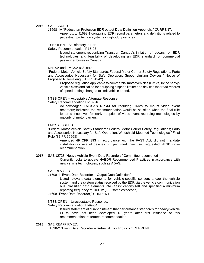#### **2016** SAE ISSUED.

J1698-1A "Pedestrian Protection EDR output Data Definition Appendix," CURRENT. Appendix to J1698-1 containing EDR record parameters and definitions related to pedestrian protection systems in light-duty vehicles.

TSB OPEN – Satisfactory in Part.

Safety Recommendation R15-03

Issued statement recognizing Transport Canada's initiation of research on EDR technologies and feasibility of developing an EDR standard for commercial passenger buses in Canada.

NHTSA and FMCSA ISSUED.

"Federal Motor Vehicle Safety Standards; Federal Motor Carrier Safety Regulations; Parts and Accessories Necessary for Safe Operation; Speed Limiting Devices," Notice of Proposed Rulemaking (81 FR 61942)

Proposed regulation applicable to commercial motor vehicles (CMVs) in the heavyvehicle class and called for equipping a speed limiter and devices that read records of speed-setting changes to limit vehicle speed.

NTSB OPEN – Acceptable Alternate Response

Safety Recommendation H-10-010

Acknowledged FMCSA's NPRM for requiring CMVs to mount video event recorders; indicated the recommendation would be satisfied when the final rule featured incentives for early adoption of video event-recording technologies by majority of motor carriers.

#### FMCSA ISSUED.

"Federal Motor Vehicle Safety Standards Federal Motor Carrier Safety Regulations; Parts and Accessories Necessary for Safe Operation; Windshield-Mounted Technologies," Final Rule (81 FR 65568)

Amended 49 CFR 393 in accordance with the FAST Act; did not mandate installation or use of devices but permitted their use; requested NTSB close recommendation.

#### **2017** SAE J2728 "Heavy Vehicle Event Data Recorders" Committee reconvened

Currently looks to update HVEDR Recommended Practices in accordance with new vehicle technologies, such as ADAS.

#### SAE REVISED.

J1698-1 "Event Data Recorder – Output Data Definition"

Listed relevant data elements for vehicle-specific sensors and/or the vehicle system and the system status received by the EDR via the vehicle communication bus, classified data elements into Classifications I-III and specified a minimum reporting frequency of 100 Hz (100 samples/second).

- J1698 "Event Data Recorder," CURRENT.
- NTSB OPEN Unacceptable Response.

Safety Recommendation H-99-54

Issued statement of disappointment that performance standards for heavy-vehicle EDRs have not been developed 18 years after first issuance of this recommendation; reiterated recommendation.

#### **2018** SAE REAFFIRMED.

J1698-2 "Event Data Recorder – Retrieval Tool Protocol," CURRENT.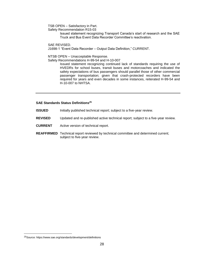TSB OPEN – Satisfactory in Part.

Safety Recommendation R15-03

Issued statement recognizing Transport Canada's start of research and the SAE Truck and Bus Event Data Recorder Committee's reactivation.

SAE REVISED.

J1698-1 "Event Data Recorder – Output Data Definition," CURRENT.

NTSB OPEN – Unacceptable Response.

Safety Recommendations H-99-54 and H-10-007

Issued statement recognizing continued lack of standards requiring the use of HVEDRs for school buses, transit buses and motorcoaches and indicated the safety expectations of bus passengers should parallel those of other commercial passenger transportation; given that crash-protected recorders have been required for years and even decades in some instances, reiterated H-99-54 and H-10-007 to NHTSA.

#### **SAE Standards Status Definitions<sup>25</sup>**

- **ISSUED** Initially published technical report; subject to a five-year review.
- **REVISED** Updated and re-published active technical report; subject to a five-year review.
- **CURRENT** Active version of technical report.
- **REAFFIRMED** Technical report reviewed by technical committee and determined current; subject to five-year review.

<sup>25</sup>Source: https://www.sae.org/standards/development/definitions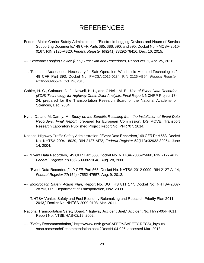## REFERENCES

- <span id="page-31-0"></span>Federal Motor Carrier Safety Administration, "Electronic Logging Devices and Hours of Service Supporting Documents," 49 CFR Parts 385, 386, 390, and 395, Docket No. FMCSA-2010- 0167, RIN 2126-AB20, *Federal Register 80*(241):78292-78416, Dec. 16, 2015.
- ---. *Electronic Logging Device (ELD) Test Plan and Procedures,* Report ver. 1, Apr. 25, 2016.
- ---. "Parts and Accessories Necessary for Safe Operation; Windshield-Mounted Technologies," 49 CFR Part 393, Docket No. FMCSA-2016-0234, RIN 2126-AB94, *Federal Register 81:*65568-65574, Oct. 24, 2016.
- Gabler, H. C., Gabauer, D. J., Newell, H. L., and O'Neill, M. E., *Use of Event Data Recorder (EDR) Technology for Highway Crash Data Analysis, Final Report*, NCHRP Project 17- 24, prepared for the Transportation Research Board of the National Academy of Sciences, Dec. 2004.
- Hynd, D., and McCarthy, M., *Study on the Benefits Resulting from the Installation of Event Data Recorders, Final Report,* prepared for European Commission, DG MOVE, Transport Research Laboratory Published Project Report No. PPR707, 2014.
- National Highway Traffic Safety Administration, "Event Data Recorders," 49 CFR Part 563, Docket No. NHTSA-2004-18029, RIN 2127-AI72, *Federal Register 69*(113):32932-32954, June 14, 2004.
- ---. "Event Data Recorders," 49 CFR Part 563, Docket No. NHTSA-2006-25666, RIN 2127-AI72, *Federal Register 71*(166):50998-51048, Aug. 28, 2006.
- ---. "Event Data Recorders," 49 CFR Part 563, Docket No. NHTSA-2012-0099, RIN 2127-AL14, *Federal Register 77*(154):47552-47557, Aug. 9, 2012.
- ---. *Motorcoach Safety Action Plan*, Report No. DOT HS 811 177, Docket No. NHTSA-2007- 28793, U.S. Department of Transportation, Nov. 2009.
- ---. "NHTSA Vehicle Safety and Fuel Economy Rulemaking and Research Priority Plan 2011- 2013," Docket No. NHTSA-2009-0108, Mar. 2011.
- National Transportation Safety Board, "Highway Accident Brief*,*" Accident No. HWY-00-FH011, Report No. NTSB/HAB-02/19, 2002.
- ---. "Safety Recommendation," https://www.ntsb.gov/SAFETY/SAFETY-RECS/\_layouts /ntsb.recsearch/Recommendation.aspx?Rec=H-04-026, accessed Mar. 2018.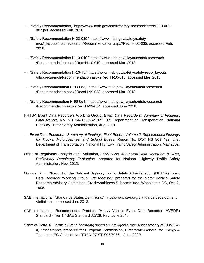- ---. "Safety Recommendation," https://www.ntsb.gov/safety/safety-recs/recletters/H-10-001- 007.pdf, accessed Feb. 2018.
- ---. "Safety Recommendation H-02-035," https://www.ntsb.gov/safety/safetyrecs/\_layouts/ntsb.recsearch/Recommendation.aspx?Rec=H-02-035, accessed Feb. 2018.
- ---. "Safety Recommendation H-10-010," https://www.ntsb.gov/\_layouts/ntsb.recsearch /Recommendation.aspx?Rec=H-10-010, accessed Mar. 2018.
- ---. "Safety Recommendation H-10-15," https://www.ntsb.gov/safety/safety-recs/\_layouts /ntsb.recsearch/Recommendation.aspx?Rec=H-10-015, accessed Mar. 2018.
- ---. "Safety Recommenation H-99-053," https://www.ntsb.gov/\_layouts/ntsb.recsearch /Recommendation.aspx?Rec=H-99-053, accessed Mar. 2018.
- ---. "Safety Recommenation H-99-054," https://www.ntsb.gov/\_layouts/ntsb.recsearch /Recommendation.aspx?Rec=H-99-054, accessed June 2018.
- NHTSA Event Data Recorders Working Group, *Event Data Recorders: Summary of Findings*, *Final Report,* No. NHTSA-1999-5218-9, U.S Department of Transportation, National Highway Traffic Safety Administration, Aug. 2001.
- ---. *Event Data Recorders: Summary of Findings, Final Report, Volume II: Supplemental Findings for Trucks, Motorcoaches, and School Buses*, Report No. DOT HS 809 432, U.S. Department of Transportation, National Highway Traffic Safety Administration, May 2002.
- Office of Regulatory Analysis and Evaluation, *FMVSS No. 405 Event Data Recorders (EDRs)*, *Preliminary Regulatory Evaluation*, prepared for National Highway Traffic Safety Administration, Nov. 2012.
- Owings, R. P., "Record of the National Highway Traffic Safety Administration (NHTSA) Event Data Recorder Working Group First Meeting," prepared for the Motor Vehicle Safety Research Advisory Committee, Crashworthiness Subcommittee, Washington DC, Oct. 2, 1998.
- SAE International, "Standards Status Definitions," https://www.sae.org/standards/development /definitions, accessed Jan. 2018.
- SAE International Recommended Practice, "Heavy Vehicle Event Data Recorder (HVEDR) Standard - Tier 1," SAE Standard J2728, Rev. June 2010.
- Schmidt-Cotta, R., *Vehicle Event Recording based on Intelligent Crash Assessment (VERONICA-II) Final Report,* prepared for European Commission, Directorate-General for Energy & Transport, EC Contract No. TREN-07-ST-S07.70764, June 2009.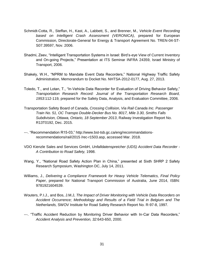- Schmidt-Cotta, R., Steffan, H., Kast, A., Labbett, S., and Brenner, M., *Vehicle Event Recording based on Intelligent Crash Assessment (VERONICA)*, prepared for European Commission, Directorate-General for Energy & Transport Agreement No. TREN-04-ST-S07.39597, Nov. 2006.
- Shadmi, Zeev, "Intelligent Transportation Systems in Israel: Bird's-eye View of Current Inventory and On-going Projects," Presentation at ITS Seminar INFRA 24359, Israel Ministry of Transport, 2006.
- Shakely, W.H., "NPRM to Mandate Event Data Recorders," National Highway Traffic Safety Administration, Memorandum to Docket No. NHTSA-2012-0177, Aug. 27, 2013.
- Toledo, T., and Lotan, T., "In-Vehicle Data Recorder for Evaluation of Driving Behavior Safety," *Transportation Research Record: Journal of the Transportation Research Board, 1953*:112-119*,* prepared for the Safety Data, Analysis, and Evaluation Committee, 2006.
- Transportation Safety Board of Canada, *Crossing Collision, Via Rail Canada Inc. Passenger Train No. 51, OC Transpo Double-Decker Bus No. 8017, Mile 3.30, Smiths Falls Subdivision, Ottawa, Ontario, 18 September 2013*, Railway Investigation Report No. R13T0192, Dec. 2015.
- ---. "Recommendation R15-03," http://www.bst-tsb.gc.ca/eng/recommandationsrecommendations/rail/2015 /rec-r1503.asp, accessed Mar. 2018.
- VDO Kienzle Sales and Services GmbH, *Unfalldatenspreicher (UDS) Accident Data Recorder - A Contribution to Road Safety,* 1998.
- Wang, Y., "National Road Safety Action Plan in China," presented at Sixth SHRP 2 Safety Research Symposium, Washington DC, July 14, 2011.
- Williams, J., *Delivering a Compliance Framework for Heavy Vehicle Telematics, Final Policy Paper*, prepared for National Transport Commission of Australia, June 2014, ISBN: 9781921604539.
- Wouters, P.I.J., and Bos, J.M.J, *The Impact of Driver Monitoring with Vehicle Data Recorders on Accident Occurrence; Methodology and Results of a Field Trial in Belgium and The Netherlands,* SWOV Institute for Road Safety Research Report No. R-97-8, 1997.
- ---. "Traffic Accident Reduction by Monitoring Driver Behavior with In-Car Data Recorders," *Accident Analysis and Prevention, 32:*643-650, 2000.